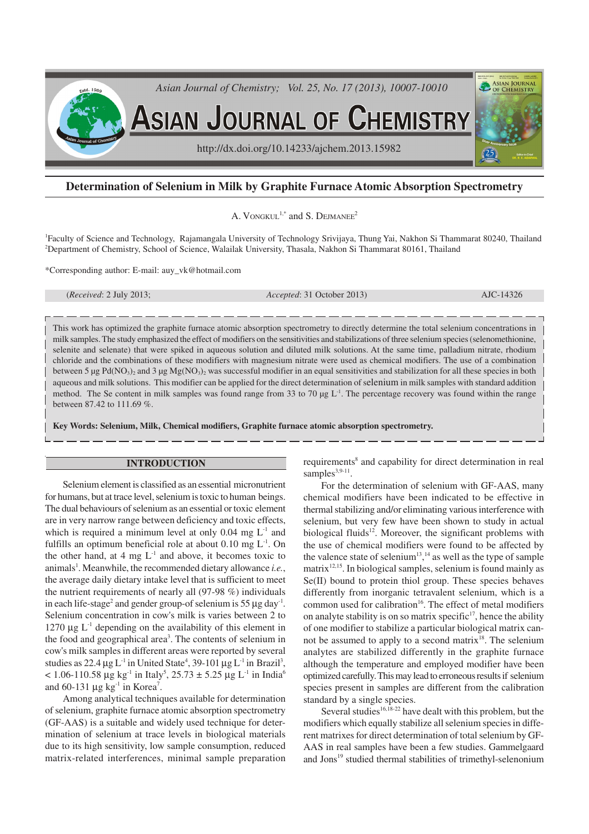

# **Determination of Selenium in Milk by Graphite Furnace Atomic Absorption Spectrometry**

A. VONGKUL<sup>1,\*</sup> and S. DEJMANEE<sup>2</sup>

<sup>1</sup>Faculty of Science and Technology, Rajamangala University of Technology Srivijaya, Thung Yai, Nakhon Si Thammarat 80240, Thailand <sup>2</sup>Department of Chemistry, School of Science, Walailak University, Thasala, Nakhon Si Thammarat 80161, Thailand

\*Corresponding author: E-mail: auy\_vk@hotmail.com

(*Received*: 2 July 2013; *Accepted*: 31 October 2013) AJC-14326

This work has optimized the graphite furnace atomic absorption spectrometry to directly determine the total selenium concentrations in milk samples. The study emphasized the effect of modifiers on the sensitivities and stabilizations of three selenium species (selenomethionine, selenite and selenate) that were spiked in aqueous solution and diluted milk solutions. At the same time, palladium nitrate, rhodium chloride and the combinations of these modifiers with magnesium nitrate were used as chemical modifiers. The use of a combination between 5  $\mu$ g Pd(NO<sub>3</sub>)<sub>2</sub> and 3  $\mu$ g Mg(NO<sub>3</sub>)<sub>2</sub> was successful modifier in an equal sensitivities and stabilization for all these species in both aqueous and milk solutions. This modifier can be applied for the direct determination of selenium in milk samples with standard addition method. The Se content in milk samples was found range from 33 to 70  $\mu$ g L<sup>-1</sup>. The percentage recovery was found within the range between 87.42 to 111.69 %.

**Key Words: Selenium, Milk, Chemical modifiers, Graphite furnace atomic absorption spectrometry.**

### **INTRODUCTION**

Selenium element is classified as an essential micronutrient for humans, but at trace level, selenium is toxic to human beings. The dual behaviours of selenium as an essential or toxic element are in very narrow range between deficiency and toxic effects, which is required a minimum level at only  $0.04 \text{ mg } L^{-1}$  and fulfills an optimum beneficial role at about  $0.10 \text{ mg L}^{-1}$ . On the other hand, at 4 mg  $L^{-1}$  and above, it becomes toxic to animals<sup>1</sup>. Meanwhile, the recommended dietary allowance *i.e.*, the average daily dietary intake level that is sufficient to meet the nutrient requirements of nearly all (97-98 %) individuals in each life-stage<sup>2</sup> and gender group-of selenium is 55  $\mu$ g day<sup>-1</sup>. Selenium concentration in cow's milk is varies between 2 to 1270  $\mu$ g L<sup>-1</sup> depending on the availability of this element in the food and geographical area<sup>3</sup>. The contents of selenium in cow's milk samples in different areas were reported by several studies as 22.4  $\mu$ g L<sup>-1</sup> in United State<sup>4</sup>, 39-101  $\mu$ g L<sup>-1</sup> in Brazil<sup>3</sup>,  $<$  1.06-110.58 µg kg<sup>-1</sup> in Italy<sup>5</sup>, 25.73  $\pm$  5.25 µg L<sup>-1</sup> in India<sup>6</sup> and 60-131  $\mu$ g kg<sup>-1</sup> in Korea<sup>7</sup>.

Among analytical techniques available for determination of selenium, graphite furnace atomic absorption spectrometry (GF-AAS) is a suitable and widely used technique for determination of selenium at trace levels in biological materials due to its high sensitivity, low sample consumption, reduced matrix-related interferences, minimal sample preparation

requirements<sup>8</sup> and capability for direct determination in real samples $^{3,9-11}$ .

For the determination of selenium with GF-AAS, many chemical modifiers have been indicated to be effective in thermal stabilizing and/or eliminating various interference with selenium, but very few have been shown to study in actual biological fluids $12$ . Moreover, the significant problems with the use of chemical modifiers were found to be affected by the valence state of selenium<sup>13</sup>,<sup>14</sup> as well as the type of sample matrix $12,15$ . In biological samples, selenium is found mainly as Se(II) bound to protein thiol group. These species behaves differently from inorganic tetravalent selenium, which is a common used for calibration<sup>16</sup>. The effect of metal modifiers on analyte stability is on so matrix specific $17$ , hence the ability of one modifier to stabilize a particular biological matrix cannot be assumed to apply to a second matrix<sup>18</sup>. The selenium analytes are stabilized differently in the graphite furnace although the temperature and employed modifier have been optimized carefully. This may lead to erroneous results if selenium species present in samples are different from the calibration standard by a single species.

Several studies $16,18-22$  have dealt with this problem, but the modifiers which equally stabilize all selenium species in different matrixes for direct determination of total selenium by GF-AAS in real samples have been a few studies. Gammelgaard and Jons<sup>19</sup> studied thermal stabilities of trimethyl-selenonium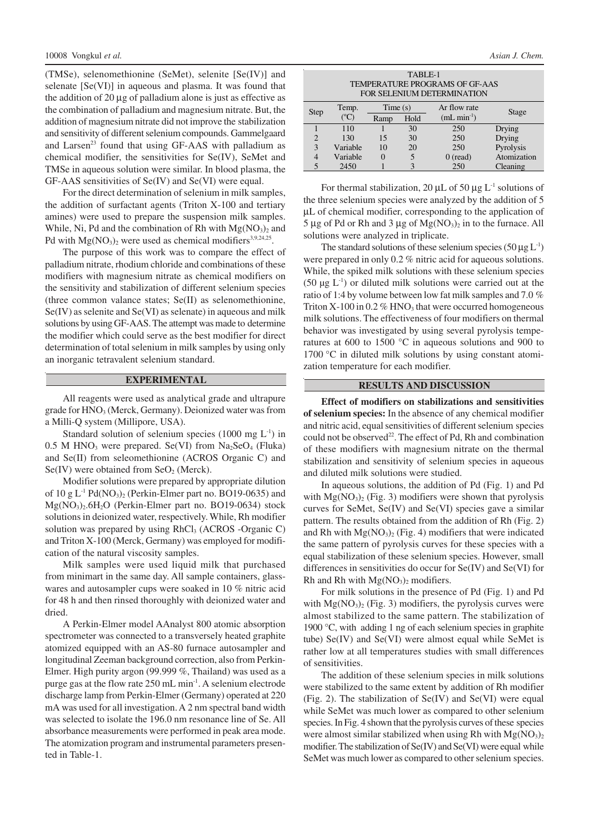(TMSe), selenomethionine (SeMet), selenite [Se(IV)] and selenate [Se(VI)] in aqueous and plasma. It was found that the addition of 20 µg of palladium alone is just as effective as the combination of palladium and magnesium nitrate. But, the addition of magnesium nitrate did not improve the stabilization and sensitivity of different selenium compounds. Gammelgaard and Larsen<sup>23</sup> found that using GF-AAS with palladium as chemical modifier, the sensitivities for Se(IV), SeMet and TMSe in aqueous solution were similar. In blood plasma, the GF-AAS sensitivities of Se(IV) and Se(VI) were equal.

For the direct determination of selenium in milk samples, the addition of surfactant agents (Triton X-100 and tertiary amines) were used to prepare the suspension milk samples. While, Ni, Pd and the combination of Rh with  $Mg(NO<sub>3</sub>)<sub>2</sub>$  and Pd with  $Mg(NO<sub>3</sub>)<sub>2</sub>$  were used as chemical modifiers<sup>3,9,24,25</sup>.

The purpose of this work was to compare the effect of palladium nitrate, rhodium chloride and combinations of these modifiers with magnesium nitrate as chemical modifiers on the sensitivity and stabilization of different selenium species (three common valance states; Se(II) as selenomethionine, Se(IV) as selenite and Se(VI) as selenate) in aqueous and milk solutions by using GF-AAS. The attempt was made to determine the modifier which could serve as the best modifier for direct determination of total selenium in milk samples by using only an inorganic tetravalent selenium standard.

#### **EXPERIMENTAL**

All reagents were used as analytical grade and ultrapure grade for  $HNO<sub>3</sub>$  (Merck, Germany). Deionized water was from a Milli-Q system (Millipore, USA).

Standard solution of selenium species  $(1000 \text{ mg } L^{-1})$  in  $0.5$  M HNO<sub>3</sub> were prepared. Se(VI) from Na<sub>2</sub>SeO<sub>4</sub> (Fluka) and Se(II) from seleomethionine (ACROS Organic C) and  $Se(IV)$  were obtained from  $SeO<sub>2</sub>$  (Merck).

Modifier solutions were prepared by appropriate dilution of  $10$  g L<sup>-1</sup> Pd(NO<sub>3</sub>)<sub>2</sub> (Perkin-Elmer part no. BO19-0635) and  $Mg(NO<sub>3</sub>)<sub>2</sub>$ .6H<sub>2</sub>O (Perkin-Elmer part no. BO19-0634) stock solutions in deionized water, respectively. While, Rh modifier solution was prepared by using  $RhCl<sub>3</sub>$  (ACROS -Organic C) and Triton X-100 (Merck, Germany) was employed for modification of the natural viscosity samples.

Milk samples were used liquid milk that purchased from minimart in the same day. All sample containers, glasswares and autosampler cups were soaked in 10 % nitric acid for 48 h and then rinsed thoroughly with deionized water and dried.

A Perkin-Elmer model AAnalyst 800 atomic absorption spectrometer was connected to a transversely heated graphite atomized equipped with an AS-80 furnace autosampler and longitudinal Zeeman background correction, also from Perkin-Elmer. High purity argon (99.999 %, Thailand) was used as a purge gas at the flow rate 250 mL min<sup>-1</sup>. A selenium electrode discharge lamp from Perkin-Elmer (Germany) operated at 220 mA was used for all investigation. A 2 nm spectral band width was selected to isolate the 196.0 nm resonance line of Se. All absorbance measurements were performed in peak area mode. The atomization program and instrumental parameters presented in Table-1.

| TABLE-1                        |
|--------------------------------|
| TEMPERATURE PROGRAMS OF GF-AAS |
| FOR SELENIUM DETERMINATION     |

| <b>Step</b>    | Temp.         | Time(s) |      | Ar flow rate | Stage       |
|----------------|---------------|---------|------|--------------|-------------|
|                | $^{\circ}$ C) | Ramp    | Hold | $(mL min-1)$ |             |
|                | 110           |         | 30   | 250          | Drying      |
| $\overline{2}$ | 130           | 15      | 30   | 250          | Drying      |
| 3              | Variable      | 10      | 20   | 250          | Pyrolysis   |
| 4              | Variable      |         |      | $0$ (read)   | Atomization |
| 5              | 2450          |         |      | 250          | Cleaning    |

For thermal stabilization, 20  $\mu$ L of 50  $\mu$ g L<sup>-1</sup> solutions of the three selenium species were analyzed by the addition of 5 µL of chemical modifier, corresponding to the application of 5 µg of Pd or Rh and 3 µg of  $Mg(NO<sub>3</sub>)<sub>2</sub>$  in to the furnace. All solutions were analyzed in triplicate.

The standard solutions of these selenium species (50  $\mu$ g L<sup>-1</sup>) were prepared in only 0.2 % nitric acid for aqueous solutions. While, the spiked milk solutions with these selenium species  $(50 \mu g L^{-1})$  or diluted milk solutions were carried out at the ratio of 1:4 by volume between low fat milk samples and 7.0 % Triton X-100 in 0.2  $%$  HNO<sub>3</sub> that were occurred homogeneous milk solutions. The effectiveness of four modifiers on thermal behavior was investigated by using several pyrolysis temperatures at 600 to 1500 °C in aqueous solutions and 900 to 1700 °C in diluted milk solutions by using constant atomization temperature for each modifier.

## **RESULTS AND DISCUSSION**

**Effect of modifiers on stabilizations and sensitivities of selenium species:** In the absence of any chemical modifier and nitric acid, equal sensitivities of different selenium species could not be observed<sup>22</sup>. The effect of Pd, Rh and combination of these modifiers with magnesium nitrate on the thermal stabilization and sensitivity of selenium species in aqueous and diluted milk solutions were studied.

In aqueous solutions, the addition of Pd (Fig. 1) and Pd with  $Mg(NO<sub>3</sub>)<sub>2</sub>$  (Fig. 3) modifiers were shown that pyrolysis curves for SeMet, Se(IV) and Se(VI) species gave a similar pattern. The results obtained from the addition of Rh (Fig. 2) and Rh with  $Mg(NO<sub>3</sub>)<sub>2</sub>$  (Fig. 4) modifiers that were indicated the same pattern of pyrolysis curves for these species with a equal stabilization of these selenium species. However, small differences in sensitivities do occur for Se(IV) and Se(VI) for Rh and Rh with  $Mg(NO<sub>3</sub>)<sub>2</sub>$  modifiers.

For milk solutions in the presence of Pd (Fig. 1) and Pd with  $Mg(NO<sub>3</sub>)<sub>2</sub>$  (Fig. 3) modifiers, the pyrolysis curves were almost stabilized to the same pattern. The stabilization of 1900 °C, with adding 1 ng of each selenium species in graphite tube) Se(IV) and Se(VI) were almost equal while SeMet is rather low at all temperatures studies with small differences of sensitivities.

The addition of these selenium species in milk solutions were stabilized to the same extent by addition of Rh modifier (Fig. 2). The stabilization of Se(IV) and Se(VI) were equal while SeMet was much lower as compared to other selenium species. In Fig. 4 shown that the pyrolysis curves of these species were almost similar stabilized when using Rh with  $Mg(NO<sub>3</sub>)<sub>2</sub>$ modifier. The stabilization of Se(IV) and Se(VI) were equal while SeMet was much lower as compared to other selenium species.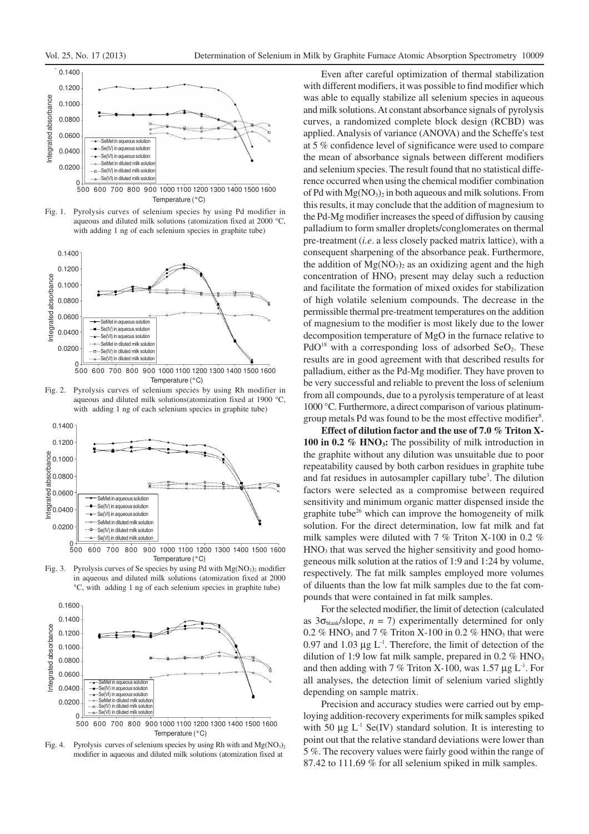

Fig. 1. Pyrolysis curves of selenium species by using Pd modifier in aqueous and diluted milk solutions (atomization fixed at 2000 °C, with adding 1 ng of each selenium species in graphite tube)



Fig. 2. Pyrolysis curves of selenium species by using Rh modifier in aqueous and diluted milk solutions(atomization fixed at 1900 with adding 1 ng of each selenium species in graphite tube)



500 600 700 800 900 1000 1100 1200 1300 1400 1500 1600 Temperature (°C)

Fig. 3. Pyrolysis curves of Se species by using Pd with  $Mg(NO<sub>3</sub>)<sub>2</sub>$  modifier in aqueous and diluted milk solutions (atomization fixed at 2000 °C, with adding 1 ng of each selenium species in graphite tube)



Fig. 4. Pyrolysis curves of selenium species by using Rh with and  $Mg(NO<sub>3</sub>)<sub>2</sub>$ modifier in aqueous and diluted milk solutions (atomization fixed at

Even after careful optimization of thermal stabilization with different modifiers, it was possible to find modifier which was able to equally stabilize all selenium species in aqueous and milk solutions. At constant absorbance signals of pyrolysis curves, a randomized complete block design (RCBD) was applied. Analysis of variance (ANOVA) and the Scheffe's test at 5 % confidence level of significance were used to compare the mean of absorbance signals between different modifiers and selenium species. The result found that no statistical difference occurred when using the chemical modifier combination of Pd with  $Mg(NO<sub>3</sub>)<sub>2</sub>$  in both aqueous and milk solutions. From this results, it may conclude that the addition of magnesium to the Pd-Mg modifier increases the speed of diffusion by causing palladium to form smaller droplets/conglomerates on thermal pre-treatment (*i.e*. a less closely packed matrix lattice), with a consequent sharpening of the absorbance peak. Furthermore, the addition of  $Mg(NO<sub>3</sub>)<sub>2</sub>$  as an oxidizing agent and the high concentration of HNO<sub>3</sub> present may delay such a reduction and facilitate the formation of mixed oxides for stabilization of high volatile selenium compounds. The decrease in the permissible thermal pre-treatment temperatures on the addition of magnesium to the modifier is most likely due to the lower decomposition temperature of MgO in the furnace relative to  $PdO<sup>18</sup>$  with a corresponding loss of adsorbed SeO<sub>2</sub>. These results are in good agreement with that described results for palladium, either as the Pd-Mg modifier. They have proven to be very successful and reliable to prevent the loss of selenium from all compounds, due to a pyrolysis temperature of at least 1000 °C. Furthermore, a direct comparison of various platinumgroup metals Pd was found to be the most effective modifier<sup>8</sup>.

**Effect of dilution factor and the use of 7.0 % Triton X-100 in 0.2 % HNO3:** The possibility of milk introduction in the graphite without any dilution was unsuitable due to poor repeatability caused by both carbon residues in graphite tube and fat residues in autosampler capillary tube<sup>3</sup>. The dilution factors were selected as a compromise between required sensitivity and minimum organic matter dispensed inside the graphite tube $^{26}$  which can improve the homogeneity of milk solution. For the direct determination, low fat milk and fat milk samples were diluted with 7 % Triton X-100 in 0.2 %  $HNO<sub>3</sub>$  that was served the higher sensitivity and good homogeneous milk solution at the ratios of 1:9 and 1:24 by volume, respectively. The fat milk samples employed more volumes of diluents than the low fat milk samples due to the fat compounds that were contained in fat milk samples.

For the selected modifier, the limit of detection (calculated as  $3\sigma_{\text{blank}}$ /slope,  $n = 7$ ) experimentally determined for only 0.2 % HNO<sub>3</sub> and 7 % Triton X-100 in 0.2 % HNO<sub>3</sub> that were 0.97 and 1.03  $\mu$ g L<sup>-1</sup>. Therefore, the limit of detection of the dilution of 1:9 low fat milk sample, prepared in 0.2  $%$  HNO<sub>3</sub> and then adding with 7 % Triton X-100, was 1.57  $\mu$ g L<sup>-1</sup>. For all analyses, the detection limit of selenium varied slightly depending on sample matrix.

Precision and accuracy studies were carried out by employing addition-recovery experiments for milk samples spiked with 50  $\mu$ g L<sup>-1</sup> Se(IV) standard solution. It is interesting to point out that the relative standard deviations were lower than 5 %. The recovery values were fairly good within the range of 87.42 to 111.69 % for all selenium spiked in milk samples.